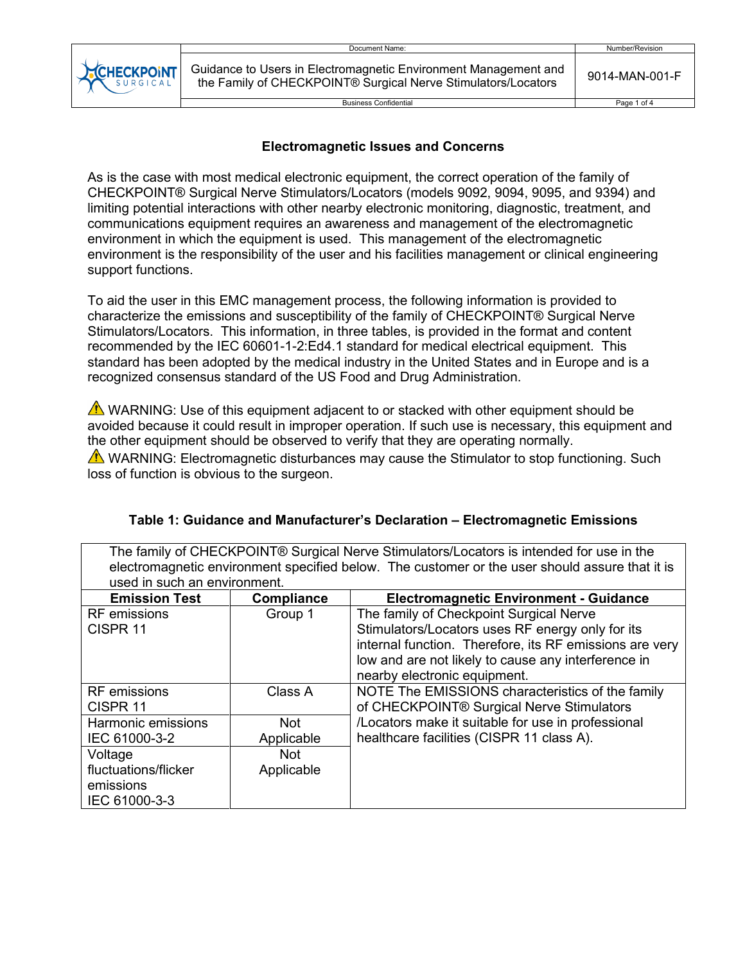

Guidance to Users in Electromagnetic Environment Management and ondarice to Osers in Electromagnetic Environment Management and 9014-MAN-001-F<br>the Family of CHECKPOINT® Surgical Nerve Stimulators/Locators

Business Confidential **Page 1 of 4** 

#### **Electromagnetic Issues and Concerns**

As is the case with most medical electronic equipment, the correct operation of the family of CHECKPOINT® Surgical Nerve Stimulators/Locators (models 9092, 9094, 9095, and 9394) and limiting potential interactions with other nearby electronic monitoring, diagnostic, treatment, and communications equipment requires an awareness and management of the electromagnetic environment in which the equipment is used. This management of the electromagnetic environment is the responsibility of the user and his facilities management or clinical engineering support functions.

To aid the user in this EMC management process, the following information is provided to characterize the emissions and susceptibility of the family of CHECKPOINT® Surgical Nerve Stimulators/Locators. This information, in three tables, is provided in the format and content recommended by the IEC 60601-1-2:Ed4.1 standard for medical electrical equipment. This standard has been adopted by the medical industry in the United States and in Europe and is a recognized consensus standard of the US Food and Drug Administration.

 $\sqrt{\Lambda}$  WARNING: Use of this equipment adjacent to or stacked with other equipment should be avoided because it could result in improper operation. If such use is necessary, this equipment and the other equipment should be observed to verify that they are operating normally.  $\triangle$  WARNING: Electromagnetic disturbances may cause the Stimulator to stop functioning. Such loss of function is obvious to the surgeon.

| The family of CHECKPOINT® Surgical Nerve Stimulators/Locators is intended for use in the       |            |                                                         |  |
|------------------------------------------------------------------------------------------------|------------|---------------------------------------------------------|--|
| electromagnetic environment specified below. The customer or the user should assure that it is |            |                                                         |  |
| used in such an environment.                                                                   |            |                                                         |  |
| <b>Emission Test</b>                                                                           | Compliance | <b>Electromagnetic Environment - Guidance</b>           |  |
| <b>RF</b> emissions                                                                            | Group 1    | The family of Checkpoint Surgical Nerve                 |  |
| CISPR <sub>11</sub>                                                                            |            | Stimulators/Locators uses RF energy only for its        |  |
|                                                                                                |            | internal function. Therefore, its RF emissions are very |  |
|                                                                                                |            | low and are not likely to cause any interference in     |  |
|                                                                                                |            | nearby electronic equipment.                            |  |
| <b>RF</b> emissions                                                                            | Class A    | NOTE The EMISSIONS characteristics of the family        |  |
| CISPR <sub>11</sub>                                                                            |            | of CHECKPOINT® Surgical Nerve Stimulators               |  |
| Harmonic emissions                                                                             | <b>Not</b> | /Locators make it suitable for use in professional      |  |
| IEC 61000-3-2                                                                                  | Applicable | healthcare facilities (CISPR 11 class A).               |  |
| Voltage                                                                                        | <b>Not</b> |                                                         |  |
| fluctuations/flicker                                                                           | Applicable |                                                         |  |
| emissions                                                                                      |            |                                                         |  |
| IEC 61000-3-3                                                                                  |            |                                                         |  |

#### **Table 1: Guidance and Manufacturer's Declaration – Electromagnetic Emissions**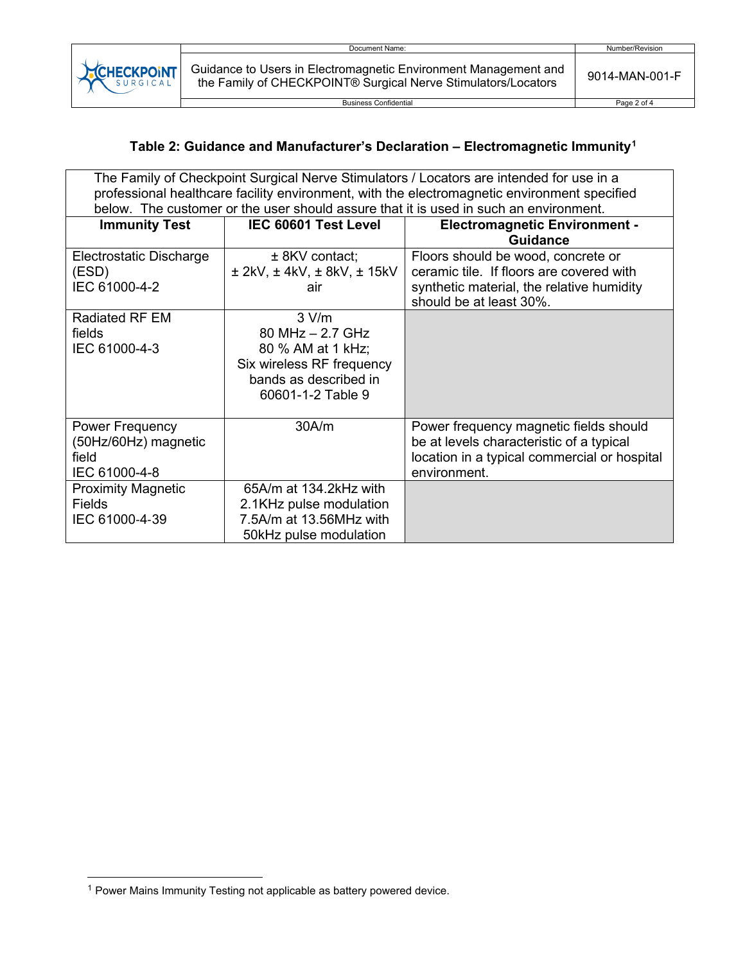

## **Table 2: Guidance and Manufacturer's Declaration – Electromagnetic Immunity[1](#page-1-0)**

| The Family of Checkpoint Surgical Nerve Stimulators / Locators are intended for use in a |                                                                                       |                                                                                              |  |  |
|------------------------------------------------------------------------------------------|---------------------------------------------------------------------------------------|----------------------------------------------------------------------------------------------|--|--|
|                                                                                          |                                                                                       | professional healthcare facility environment, with the electromagnetic environment specified |  |  |
|                                                                                          | below. The customer or the user should assure that it is used in such an environment. |                                                                                              |  |  |
| <b>Immunity Test</b>                                                                     | IEC 60601 Test Level                                                                  | <b>Electromagnetic Environment -</b>                                                         |  |  |
|                                                                                          |                                                                                       | Guidance                                                                                     |  |  |
| Electrostatic Discharge                                                                  | $±$ 8KV contact;                                                                      | Floors should be wood, concrete or                                                           |  |  |
| (ESD)                                                                                    | $\pm$ 2kV, $\pm$ 4kV, $\pm$ 8kV, $\pm$ 15kV                                           | ceramic tile. If floors are covered with                                                     |  |  |
| IEC 61000-4-2                                                                            | air                                                                                   | synthetic material, the relative humidity                                                    |  |  |
|                                                                                          |                                                                                       | should be at least 30%.                                                                      |  |  |
| <b>Radiated RF EM</b>                                                                    | 3 V/m                                                                                 |                                                                                              |  |  |
| fields                                                                                   | 80 MHz $-$ 2.7 GHz                                                                    |                                                                                              |  |  |
| IEC 61000-4-3                                                                            | 80 % AM at 1 kHz;                                                                     |                                                                                              |  |  |
|                                                                                          | Six wireless RF frequency                                                             |                                                                                              |  |  |
|                                                                                          | bands as described in                                                                 |                                                                                              |  |  |
|                                                                                          | 60601-1-2 Table 9                                                                     |                                                                                              |  |  |
|                                                                                          |                                                                                       |                                                                                              |  |  |
| <b>Power Frequency</b>                                                                   | 30A/m                                                                                 | Power frequency magnetic fields should                                                       |  |  |
| (50Hz/60Hz) magnetic                                                                     |                                                                                       | be at levels characteristic of a typical                                                     |  |  |
| field                                                                                    |                                                                                       | location in a typical commercial or hospital                                                 |  |  |
| IEC 61000-4-8                                                                            |                                                                                       | environment.                                                                                 |  |  |
| <b>Proximity Magnetic</b>                                                                | 65A/m at 134.2kHz with                                                                |                                                                                              |  |  |
| <b>Fields</b>                                                                            | 2.1KHz pulse modulation                                                               |                                                                                              |  |  |
| IEC 61000-4-39                                                                           | 7.5A/m at 13.56MHz with                                                               |                                                                                              |  |  |
|                                                                                          | 50kHz pulse modulation                                                                |                                                                                              |  |  |

<span id="page-1-0"></span><sup>1</sup> Power Mains Immunity Testing not applicable as battery powered device.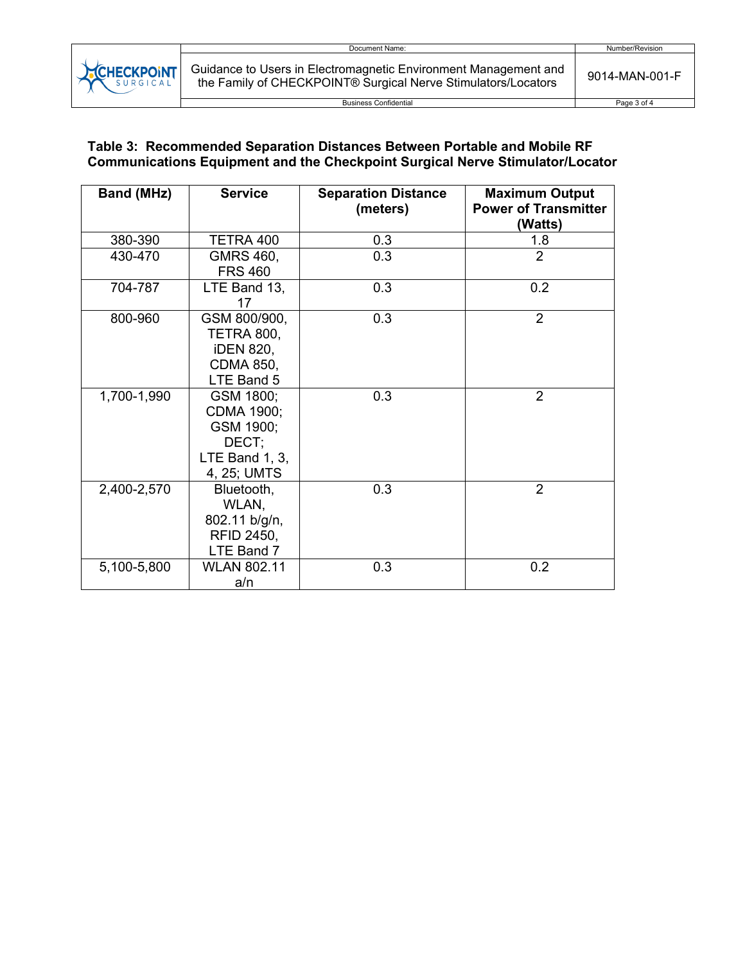Business Confidential Page 3 of 4

Guidance to Users in Electromagnetic Environment Management and

### **Table 3: Recommended Separation Distances Between Portable and Mobile RF Communications Equipment and the Checkpoint Surgical Nerve Stimulator/Locator**

| Band (MHz)  | <b>Service</b>                                                                          | <b>Separation Distance</b><br>(meters) | <b>Maximum Output</b><br><b>Power of Transmitter</b><br>(Watts) |
|-------------|-----------------------------------------------------------------------------------------|----------------------------------------|-----------------------------------------------------------------|
| 380-390     | TETRA 400                                                                               | 0.3                                    | 1.8                                                             |
| 430-470     | GMRS 460,<br><b>FRS 460</b>                                                             | 0.3                                    | $\overline{2}$                                                  |
| 704-787     | LTE Band 13,<br>17                                                                      | 0.3                                    | 0.2                                                             |
| 800-960     | GSM 800/900,<br>TETRA 800,<br><b>iDEN 820,</b><br><b>CDMA 850,</b><br>LTE Band 5        | 0.3                                    | $\overline{2}$                                                  |
| 1,700-1,990 | GSM 1800;<br><b>CDMA 1900;</b><br>GSM 1900;<br>DECT;<br>LTE Band $1, 3,$<br>4, 25; UMTS | 0.3                                    | 2                                                               |
| 2,400-2,570 | Bluetooth,<br>WLAN,<br>802.11 b/g/n,<br><b>RFID 2450,</b><br>LTE Band 7                 | 0.3                                    | 2                                                               |
| 5,100-5,800 | <b>WLAN 802.11</b><br>a/n                                                               | 0.3                                    | 0.2                                                             |